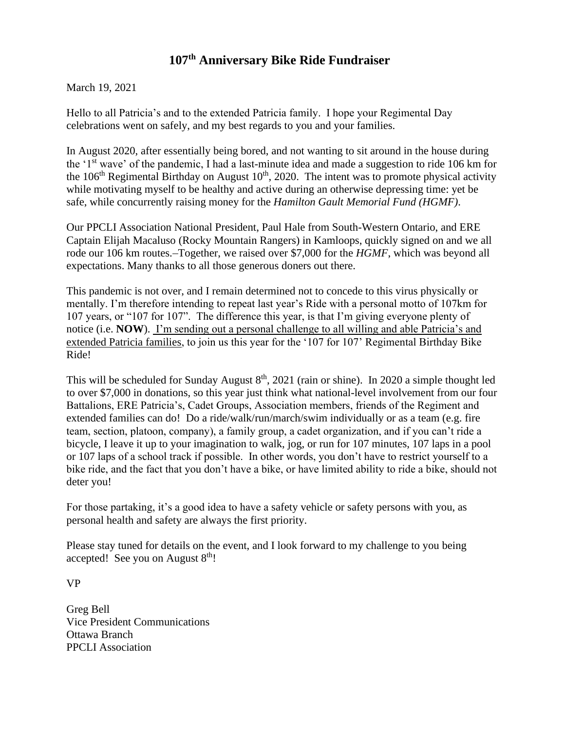## **107th Anniversary Bike Ride Fundraiser**

March 19, 2021

Hello to all Patricia's and to the extended Patricia family. I hope your Regimental Day celebrations went on safely, and my best regards to you and your families.

In August 2020, after essentially being bored, and not wanting to sit around in the house during the '1st wave' of the pandemic, I had a last-minute idea and made a suggestion to ride 106 km for the  $106<sup>th</sup>$  Regimental Birthday on August  $10<sup>th</sup>$ , 2020. The intent was to promote physical activity while motivating myself to be healthy and active during an otherwise depressing time: yet be safe, while concurrently raising money for the *Hamilton Gault Memorial Fund (HGMF)*.

Our PPCLI Association National President, Paul Hale from South-Western Ontario, and ERE Captain Elijah Macaluso (Rocky Mountain Rangers) in Kamloops, quickly signed on and we all rode our 106 km routes.-Together, we raised over \$7,000 for the *HGMF*, which was beyond all expectations. Many thanks to all those generous doners out there.

This pandemic is not over, and I remain determined not to concede to this virus physically or mentally. I'm therefore intending to repeat last year's Ride with a personal motto of 107km for 107 years, or "107 for 107". The difference this year, is that I'm giving everyone plenty of notice (i.e. **NOW**). I'm sending out a personal challenge to all willing and able Patricia's and extended Patricia families, to join us this year for the '107 for 107' Regimental Birthday Bike Ride!

This will be scheduled for Sunday August  $8<sup>th</sup>$ , 2021 (rain or shine). In 2020 a simple thought led to over \$7,000 in donations, so this year just think what national-level involvement from our four Battalions, ERE Patricia's, Cadet Groups, Association members, friends of the Regiment and extended families can do! Do a ride/walk/run/march/swim individually or as a team (e.g. fire team, section, platoon, company), a family group, a cadet organization, and if you can't ride a bicycle, I leave it up to your imagination to walk, jog, or run for 107 minutes, 107 laps in a pool or 107 laps of a school track if possible. In other words, you don't have to restrict yourself to a bike ride, and the fact that you don't have a bike, or have limited ability to ride a bike, should not deter you!

For those partaking, it's a good idea to have a safety vehicle or safety persons with you, as personal health and safety are always the first priority.

Please stay tuned for details on the event, and I look forward to my challenge to you being accepted! See you on August  $8<sup>th</sup>$ !

VP

Greg Bell Vice President Communications Ottawa Branch PPCLI Association